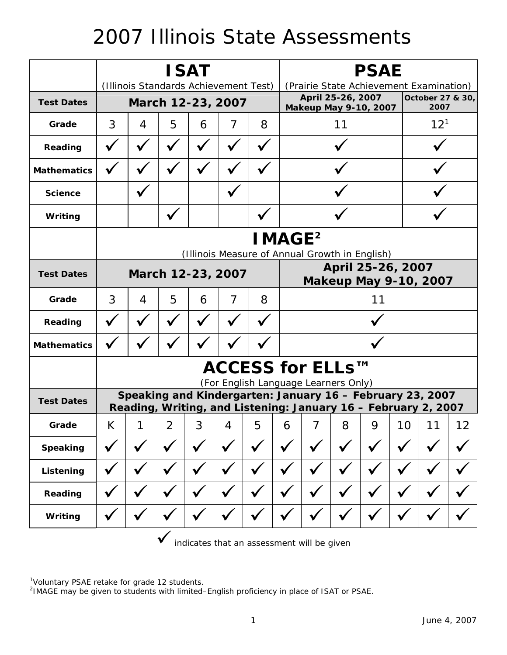## 2007 Illinois State Assessments

|                    | <b>ISAT</b>                                                                                                                 |              |                |   |              |              |   | <b>PSAE</b>                                                                   |              |              |          |              |    |  |
|--------------------|-----------------------------------------------------------------------------------------------------------------------------|--------------|----------------|---|--------------|--------------|---|-------------------------------------------------------------------------------|--------------|--------------|----------|--------------|----|--|
|                    | (Illinois Standards Achievement Test)                                                                                       |              |                |   |              |              |   | (Prairie State Achievement Examination)                                       |              |              |          |              |    |  |
| <b>Test Dates</b>  | March 12-23, 2007                                                                                                           |              |                |   |              |              |   | April 25-26, 2007<br>October 27 & 30,<br>2007<br><b>Makeup May 9-10, 2007</b> |              |              |          |              |    |  |
| Grade              | 3                                                                                                                           | 4            | 5              | 6 | 7            | 8            |   | 11                                                                            |              |              | $12^{1}$ |              |    |  |
| Reading            |                                                                                                                             |              |                |   |              |              |   |                                                                               |              |              |          |              |    |  |
| <b>Mathematics</b> |                                                                                                                             |              |                |   |              |              |   |                                                                               |              |              |          |              |    |  |
| <b>Science</b>     |                                                                                                                             |              |                |   |              |              |   |                                                                               |              |              |          |              |    |  |
| Writing            |                                                                                                                             |              |                |   |              |              |   |                                                                               |              |              |          |              |    |  |
|                    | <b>IMAGE<sup>2</sup></b>                                                                                                    |              |                |   |              |              |   |                                                                               |              |              |          |              |    |  |
|                    | (Illinois Measure of Annual Growth in English)                                                                              |              |                |   |              |              |   |                                                                               |              |              |          |              |    |  |
| <b>Test Dates</b>  | March 12-23, 2007                                                                                                           |              |                |   |              |              |   | April 25-26, 2007<br><b>Makeup May 9-10, 2007</b>                             |              |              |          |              |    |  |
| Grade              | 3                                                                                                                           | 4            | 5              | 6 | 7            | 8            |   | 11                                                                            |              |              |          |              |    |  |
| Reading            |                                                                                                                             |              |                |   |              |              |   |                                                                               |              |              |          |              |    |  |
| <b>Mathematics</b> |                                                                                                                             |              |                |   |              |              |   |                                                                               |              |              |          |              |    |  |
|                    | ACCESS for ELLs™<br>(For English Language Learners Only)                                                                    |              |                |   |              |              |   |                                                                               |              |              |          |              |    |  |
| <b>Test Dates</b>  | Speaking and Kindergarten: January 16 - February 23, 2007<br>Reading, Writing, and Listening: January 16 - February 2, 2007 |              |                |   |              |              |   |                                                                               |              |              |          |              |    |  |
| Grade              | Κ                                                                                                                           | 1            | $\overline{2}$ | 3 | 4            | 5            | 6 | 7                                                                             | 8            | 9            | 10       | 11           | 12 |  |
| <b>Speaking</b>    |                                                                                                                             |              |                |   |              |              |   |                                                                               |              |              |          |              |    |  |
| Listening          | $\checkmark$                                                                                                                | $\checkmark$ | $\checkmark$   |   | $\checkmark$ | $\checkmark$ |   | $\checkmark$                                                                  | $\checkmark$ |              |          | $\checkmark$ |    |  |
| Reading            | $\checkmark$                                                                                                                | $\checkmark$ | $\checkmark$   |   |              | $\checkmark$ |   | $\checkmark$                                                                  | $\checkmark$ | $\checkmark$ |          |              |    |  |
| Writing            | $\checkmark$                                                                                                                |              |                |   | $\checkmark$ | $\checkmark$ |   |                                                                               | V            |              |          |              |    |  |

 $\checkmark$  indicates that an assessment will be given

<sup>1</sup>Voluntary PSAE retake for grade 12 students.<br><sup>2</sup>IMAGE may be given to students with limited–English proficiency in place of ISAT or PSAE.